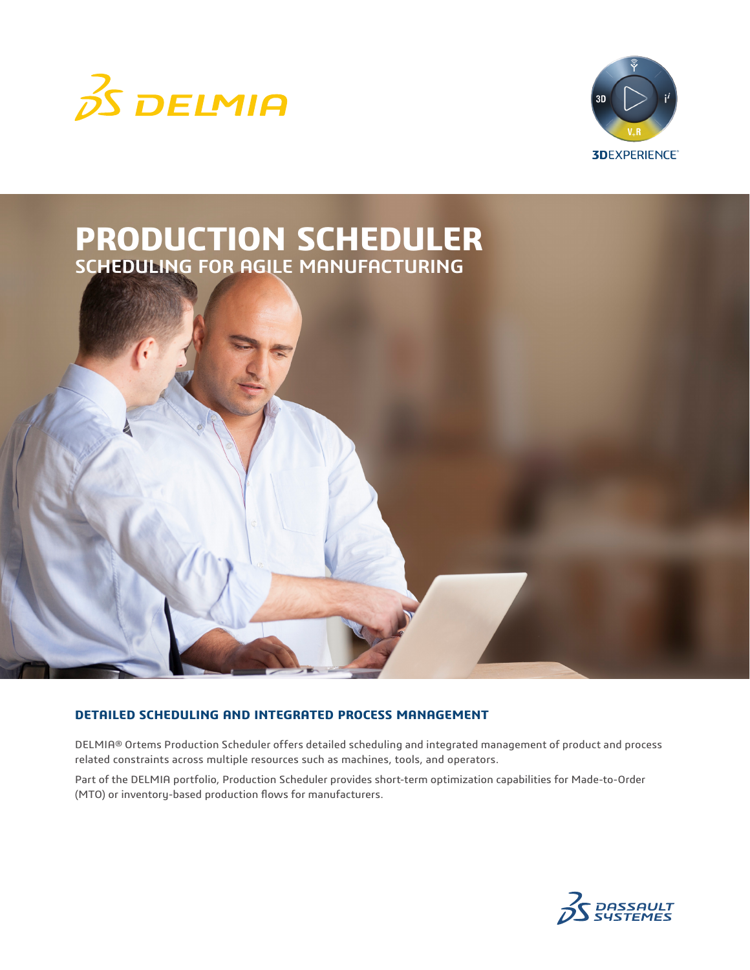





# **DETAILED SCHEDULING AND INTEGRATED PROCESS MANAGEMENT**

DELMIA® Ortems Production Scheduler offers detailed scheduling and integrated management of product and process related constraints across multiple resources such as machines, tools, and operators.

Part of the DELMIA portfolio, Production Scheduler provides short-term optimization capabilities for Made-to-Order (MTO) or inventory-based production flows for manufacturers.